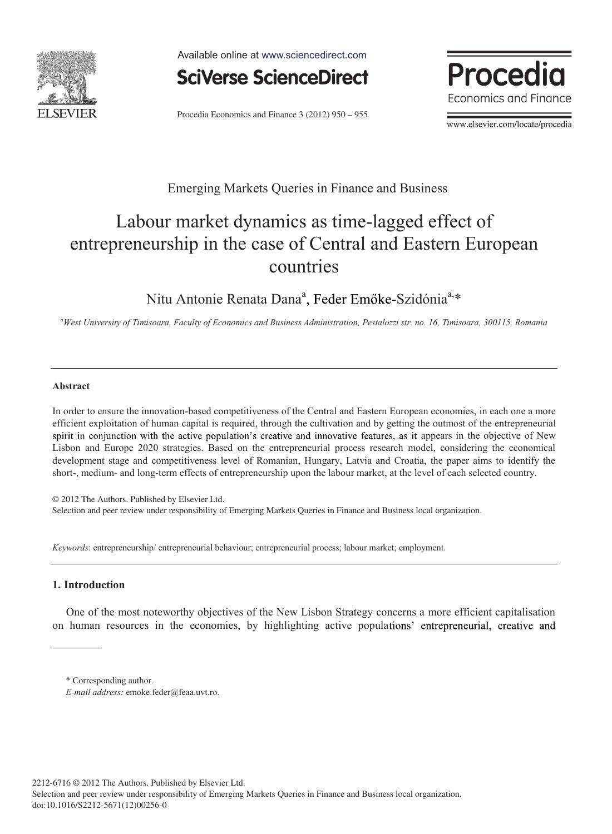

Available online at www.sciencedirect.com



Procedia Economics and Finance 3 (2012) 950 – 955



www.elsevier.com/locate/procedia

### Emerging Markets Queries in Finance and Business

# Labour market dynamics as time-lagged effect of entrepreneurship in the case of Central and Eastern European countries

Nitu Antonie Renata Dana<sup>a</sup>, Feder Emőke-Szidónia<sup>a,\*</sup>

*a West University of Timisoara, Faculty of Economics and Business Administration, Pestalozzi str. no. 16, Timisoara, 300115, Romania* 

#### **Abstract**

In order to ensure the innovation-based competitiveness of the Central and Eastern European economies, in each one a more efficient exploitation of human capital is required, through the cultivation and by getting the outmost of the entrepreneurial spirit in conjunction with the active population's creative and innovative features, as it appears in the objective of New Lisbon and Europe 2020 strategies. Based on the entrepreneurial process research model, considering the economical development stage and competitiveness level of Romanian, Hungary, Latvia and Croatia, the paper aims to identify the short-, medium- and long-term effects of entrepreneurship upon the labour market, at the level of each selected country.

© 2012 The Authors. Published by Elsevier Ltd. Selection and peer review under responsibility of Emerging Markets Queries in Finance and Business local organization.

*Keywords*: entrepreneurship/ entrepreneurial behaviour; entrepreneurial process; labour market; employment.

### **1. Introduction**

One of the most noteworthy objectives of the New Lisbon Strategy concerns a more efficient capitalisation on human resources in the economies, by highlighting active populations' entrepreneurial, creative and

<sup>\*</sup> Corresponding author.

*E-mail address: emoke.feder@feaa.uvt.ro.*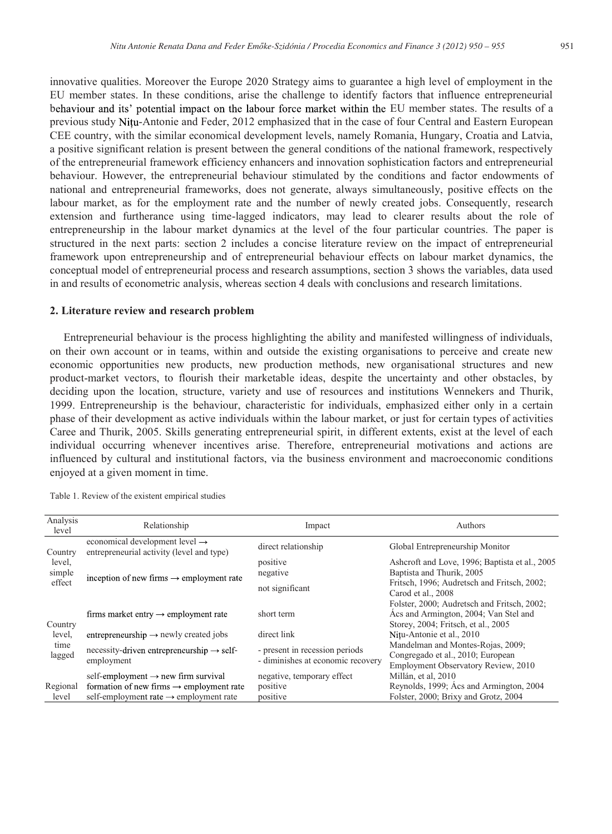innovative qualities. Moreover the Europe 2020 Strategy aims to guarantee a high level of employment in the EU member states. In these conditions, arise the challenge to identify factors that influence entrepreneurial behaviour and its' potential impact on the labour force market within the EU member states. The results of a previous study Nitu-Antonie and Feder, 2012 emphasized that in the case of four Central and Eastern European CEE country, with the similar economical development levels, namely Romania, Hungary, Croatia and Latvia, a positive significant relation is present between the general conditions of the national framework, respectively of the entrepreneurial framework efficiency enhancers and innovation sophistication factors and entrepreneurial behaviour. However, the entrepreneurial behaviour stimulated by the conditions and factor endowments of national and entrepreneurial frameworks, does not generate, always simultaneously, positive effects on the labour market, as for the employment rate and the number of newly created jobs. Consequently, research extension and furtherance using time-lagged indicators, may lead to clearer results about the role of entrepreneurship in the labour market dynamics at the level of the four particular countries. The paper is structured in the next parts: section 2 includes a concise literature review on the impact of entrepreneurial framework upon entrepreneurship and of entrepreneurial behaviour effects on labour market dynamics, the conceptual model of entrepreneurial process and research assumptions, section 3 shows the variables, data used in and results of econometric analysis, whereas section 4 deals with conclusions and research limitations.

#### **2. Literature review and research problem**

Entrepreneurial behaviour is the process highlighting the ability and manifested willingness of individuals, on their own account or in teams, within and outside the existing organisations to perceive and create new economic opportunities new products, new production methods, new organisational structures and new product-market vectors, to flourish their marketable ideas, despite the uncertainty and other obstacles, by deciding upon the location, structure, variety and use of resources and institutions Wennekers and Thurik, 1999. Entrepreneurship is the behaviour, characteristic for individuals, emphasized either only in a certain phase of their development as active individuals within the labour market, or just for certain types of activities Caree and Thurik, 2005. Skills generating entrepreneurial spirit, in different extents, exist at the level of each individual occurring whenever incentives arise. Therefore, entrepreneurial motivations and actions are influenced by cultural and institutional factors, via the business environment and macroeconomic conditions enjoyed at a given moment in time.

| Analysis<br>level                     | Relationship                                                                                                                                                  | Impact                                                              | Authors                                                                                                                     |
|---------------------------------------|---------------------------------------------------------------------------------------------------------------------------------------------------------------|---------------------------------------------------------------------|-----------------------------------------------------------------------------------------------------------------------------|
| Country<br>level,<br>simple<br>effect | economical development level $\rightarrow$<br>entrepreneurial activity (level and type)                                                                       | direct relationship                                                 | Global Entrepreneurship Monitor                                                                                             |
|                                       | inception of new firms $\rightarrow$ employment rate                                                                                                          | positive<br>negative                                                | Ashcroft and Love, 1996; Baptista et al., 2005<br>Baptista and Thurik, 2005                                                 |
|                                       |                                                                                                                                                               | not significant                                                     | Fritsch, 1996; Audretsch and Fritsch, 2002;<br>Carod et al., 2008                                                           |
| Country<br>level.<br>time<br>lagged   | firms market entry $\rightarrow$ employment rate                                                                                                              | short term                                                          | Folster, 2000; Audretsch and Fritsch, 2002;<br>Acs and Armington, 2004; Van Stel and<br>Storey, 2004; Fritsch, et al., 2005 |
|                                       | entrepreneurship $\rightarrow$ newly created jobs                                                                                                             | direct link                                                         | Nitu-Antonie et al., 2010                                                                                                   |
|                                       | $n$ ecessity-driven entrepreneurship $\rightarrow$ self-<br>employment                                                                                        | - present in recession periods<br>- diminishes at economic recovery | Mandelman and Montes-Rojas, 2009;<br>Congregado et al., 2010; European<br>Employment Observatory Review, 2010               |
| Regional<br>level                     | self-employment $\rightarrow$ new firm survival<br>formation of new firms $\rightarrow$ employment rate<br>self-employment rate $\rightarrow$ employment rate | negative, temporary effect<br>positive<br>positive                  | Millán, et al, 2010<br>Reynolds, 1999; Acs and Armington, 2004<br>Folster, 2000; Brixy and Grotz, 2004                      |

Table 1. Review of the existent empirical studies